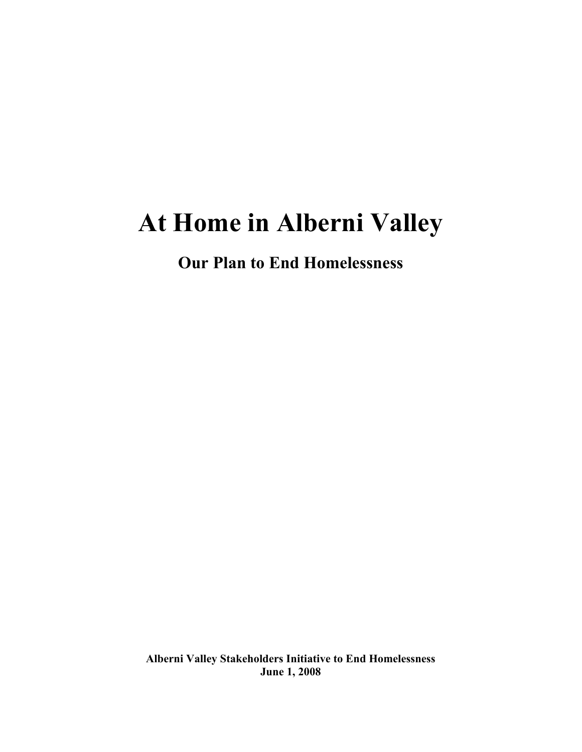# At Home in Alberni Valley

Our Plan to End Homelessness

Alberni Valley Stakeholders Initiative to End Homelessness June 1, 2008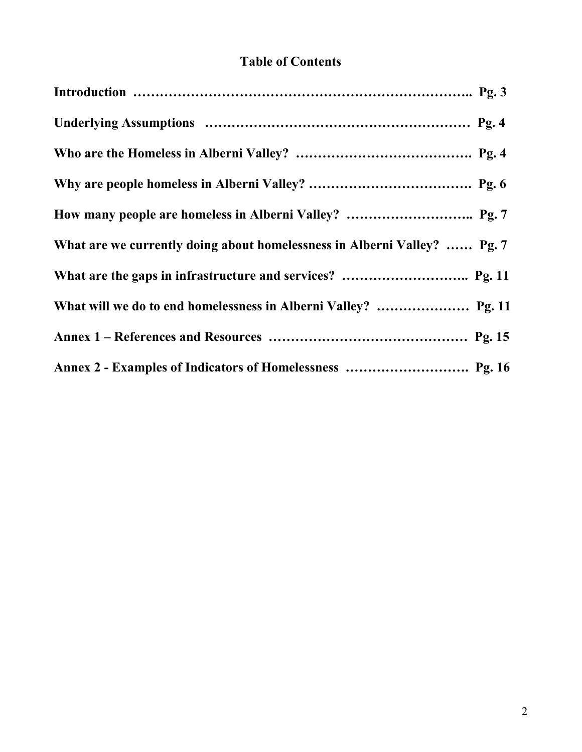# Table of Contents

| What are we currently doing about homelessness in Alberni Valley?  Pg. 7 |
|--------------------------------------------------------------------------|
|                                                                          |
|                                                                          |
|                                                                          |
|                                                                          |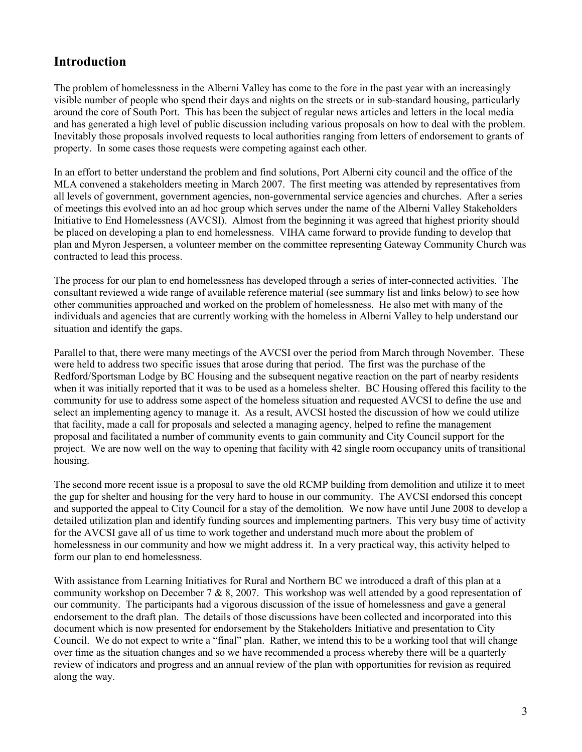# Introduction

The problem of homelessness in the Alberni Valley has come to the fore in the past year with an increasingly visible number of people who spend their days and nights on the streets or in sub-standard housing, particularly around the core of South Port. This has been the subject of regular news articles and letters in the local media and has generated a high level of public discussion including various proposals on how to deal with the problem. Inevitably those proposals involved requests to local authorities ranging from letters of endorsement to grants of property. In some cases those requests were competing against each other.

In an effort to better understand the problem and find solutions, Port Alberni city council and the office of the MLA convened a stakeholders meeting in March 2007. The first meeting was attended by representatives from all levels of government, government agencies, non-governmental service agencies and churches. After a series of meetings this evolved into an ad hoc group which serves under the name of the Alberni Valley Stakeholders Initiative to End Homelessness (AVCSI). Almost from the beginning it was agreed that highest priority should be placed on developing a plan to end homelessness. VIHA came forward to provide funding to develop that plan and Myron Jespersen, a volunteer member on the committee representing Gateway Community Church was contracted to lead this process.

The process for our plan to end homelessness has developed through a series of inter-connected activities. The consultant reviewed a wide range of available reference material (see summary list and links below) to see how other communities approached and worked on the problem of homelessness. He also met with many of the individuals and agencies that are currently working with the homeless in Alberni Valley to help understand our situation and identify the gaps.

Parallel to that, there were many meetings of the AVCSI over the period from March through November. These were held to address two specific issues that arose during that period. The first was the purchase of the Redford/Sportsman Lodge by BC Housing and the subsequent negative reaction on the part of nearby residents when it was initially reported that it was to be used as a homeless shelter. BC Housing offered this facility to the community for use to address some aspect of the homeless situation and requested AVCSI to define the use and select an implementing agency to manage it. As a result, AVCSI hosted the discussion of how we could utilize that facility, made a call for proposals and selected a managing agency, helped to refine the management proposal and facilitated a number of community events to gain community and City Council support for the project. We are now well on the way to opening that facility with 42 single room occupancy units of transitional housing.

The second more recent issue is a proposal to save the old RCMP building from demolition and utilize it to meet the gap for shelter and housing for the very hard to house in our community. The AVCSI endorsed this concept and supported the appeal to City Council for a stay of the demolition. We now have until June 2008 to develop a detailed utilization plan and identify funding sources and implementing partners. This very busy time of activity for the AVCSI gave all of us time to work together and understand much more about the problem of homelessness in our community and how we might address it. In a very practical way, this activity helped to form our plan to end homelessness.

With assistance from Learning Initiatives for Rural and Northern BC we introduced a draft of this plan at a community workshop on December 7 & 8, 2007. This workshop was well attended by a good representation of our community. The participants had a vigorous discussion of the issue of homelessness and gave a general endorsement to the draft plan. The details of those discussions have been collected and incorporated into this document which is now presented for endorsement by the Stakeholders Initiative and presentation to City Council. We do not expect to write a "final" plan. Rather, we intend this to be a working tool that will change over time as the situation changes and so we have recommended a process whereby there will be a quarterly review of indicators and progress and an annual review of the plan with opportunities for revision as required along the way.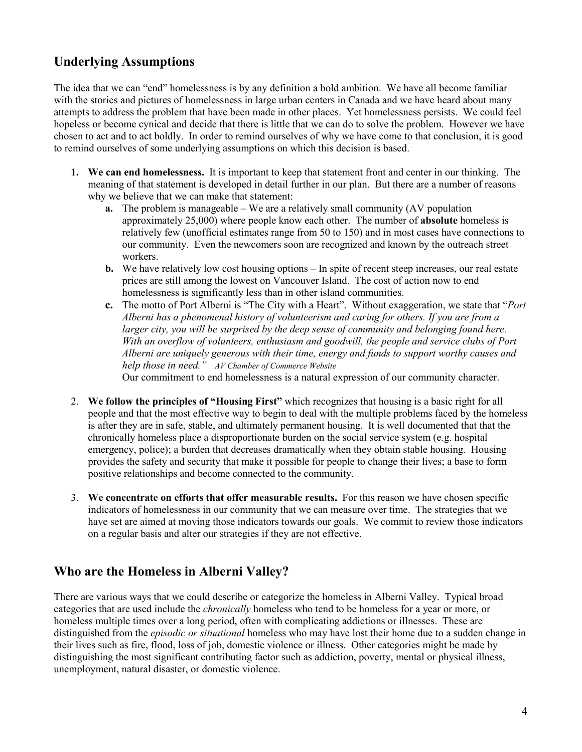# Underlying Assumptions

The idea that we can "end" homelessness is by any definition a bold ambition. We have all become familiar with the stories and pictures of homelessness in large urban centers in Canada and we have heard about many attempts to address the problem that have been made in other places. Yet homelessness persists. We could feel hopeless or become cynical and decide that there is little that we can do to solve the problem. However we have chosen to act and to act boldly. In order to remind ourselves of why we have come to that conclusion, it is good to remind ourselves of some underlying assumptions on which this decision is based.

- 1. We can end homelessness. It is important to keep that statement front and center in our thinking. The meaning of that statement is developed in detail further in our plan. But there are a number of reasons why we believe that we can make that statement:
	- a. The problem is manageable We are a relatively small community (AV population approximately 25,000) where people know each other. The number of absolute homeless is relatively few (unofficial estimates range from 50 to 150) and in most cases have connections to our community. Even the newcomers soon are recognized and known by the outreach street workers.
	- b. We have relatively low cost housing options In spite of recent steep increases, our real estate prices are still among the lowest on Vancouver Island. The cost of action now to end homelessness is significantly less than in other island communities.
	- c. The motto of Port Alberni is "The City with a Heart". Without exaggeration, we state that "Port Alberni has a phenomenal history of volunteerism and caring for others. If you are from a larger city, you will be surprised by the deep sense of community and belonging found here. With an overflow of volunteers, enthusiasm and goodwill, the people and service clubs of Port Alberni are uniquely generous with their time, energy and funds to support worthy causes and help those in need." AV Chamber of Commerce Website Our commitment to end homelessness is a natural expression of our community character.
- 2. We follow the principles of "Housing First" which recognizes that housing is a basic right for all people and that the most effective way to begin to deal with the multiple problems faced by the homeless is after they are in safe, stable, and ultimately permanent housing. It is well documented that that the chronically homeless place a disproportionate burden on the social service system (e.g. hospital emergency, police); a burden that decreases dramatically when they obtain stable housing. Housing provides the safety and security that make it possible for people to change their lives; a base to form positive relationships and become connected to the community.
- 3. We concentrate on efforts that offer measurable results. For this reason we have chosen specific indicators of homelessness in our community that we can measure over time. The strategies that we have set are aimed at moving those indicators towards our goals. We commit to review those indicators on a regular basis and alter our strategies if they are not effective.

# Who are the Homeless in Alberni Valley?

There are various ways that we could describe or categorize the homeless in Alberni Valley. Typical broad categories that are used include the chronically homeless who tend to be homeless for a year or more, or homeless multiple times over a long period, often with complicating addictions or illnesses. These are distinguished from the *episodic or situational* homeless who may have lost their home due to a sudden change in their lives such as fire, flood, loss of job, domestic violence or illness. Other categories might be made by distinguishing the most significant contributing factor such as addiction, poverty, mental or physical illness, unemployment, natural disaster, or domestic violence.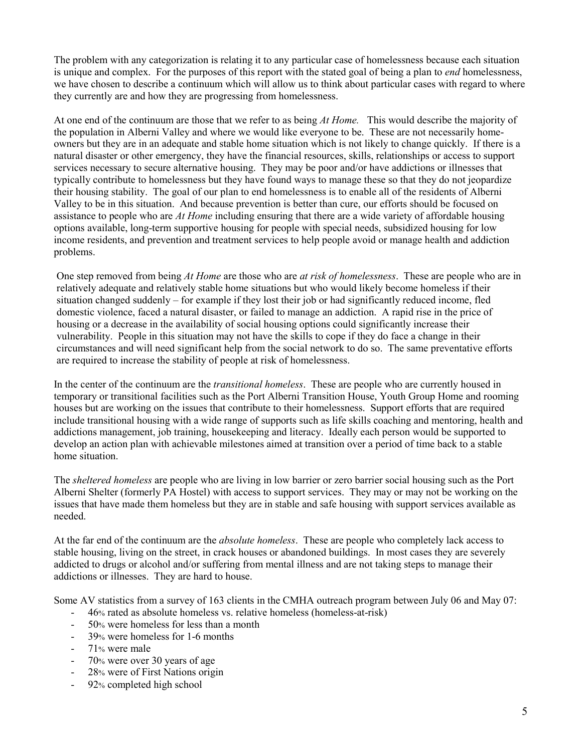The problem with any categorization is relating it to any particular case of homelessness because each situation is unique and complex. For the purposes of this report with the stated goal of being a plan to *end* homelessness, we have chosen to describe a continuum which will allow us to think about particular cases with regard to where they currently are and how they are progressing from homelessness.

At one end of the continuum are those that we refer to as being At Home. This would describe the majority of the population in Alberni Valley and where we would like everyone to be. These are not necessarily homeowners but they are in an adequate and stable home situation which is not likely to change quickly. If there is a natural disaster or other emergency, they have the financial resources, skills, relationships or access to support services necessary to secure alternative housing. They may be poor and/or have addictions or illnesses that typically contribute to homelessness but they have found ways to manage these so that they do not jeopardize their housing stability. The goal of our plan to end homelessness is to enable all of the residents of Alberni Valley to be in this situation. And because prevention is better than cure, our efforts should be focused on assistance to people who are *At Home* including ensuring that there are a wide variety of affordable housing options available, long-term supportive housing for people with special needs, subsidized housing for low income residents, and prevention and treatment services to help people avoid or manage health and addiction problems.

One step removed from being At Home are those who are at risk of homelessness. These are people who are in relatively adequate and relatively stable home situations but who would likely become homeless if their situation changed suddenly – for example if they lost their job or had significantly reduced income, fled domestic violence, faced a natural disaster, or failed to manage an addiction. A rapid rise in the price of housing or a decrease in the availability of social housing options could significantly increase their vulnerability. People in this situation may not have the skills to cope if they do face a change in their circumstances and will need significant help from the social network to do so. The same preventative efforts are required to increase the stability of people at risk of homelessness.

In the center of the continuum are the *transitional homeless*. These are people who are currently housed in temporary or transitional facilities such as the Port Alberni Transition House, Youth Group Home and rooming houses but are working on the issues that contribute to their homelessness. Support efforts that are required include transitional housing with a wide range of supports such as life skills coaching and mentoring, health and addictions management, job training, housekeeping and literacy. Ideally each person would be supported to develop an action plan with achievable milestones aimed at transition over a period of time back to a stable home situation.

The sheltered homeless are people who are living in low barrier or zero barrier social housing such as the Port Alberni Shelter (formerly PA Hostel) with access to support services. They may or may not be working on the issues that have made them homeless but they are in stable and safe housing with support services available as needed.

At the far end of the continuum are the *absolute homeless*. These are people who completely lack access to stable housing, living on the street, in crack houses or abandoned buildings. In most cases they are severely addicted to drugs or alcohol and/or suffering from mental illness and are not taking steps to manage their addictions or illnesses. They are hard to house.

Some AV statistics from a survey of 163 clients in the CMHA outreach program between July 06 and May 07:

- 46% rated as absolute homeless vs. relative homeless (homeless-at-risk)
- 50% were homeless for less than a month
- 39% were homeless for 1-6 months
- 71% were male
- 70% were over 30 years of age
- 28% were of First Nations origin
- 92% completed high school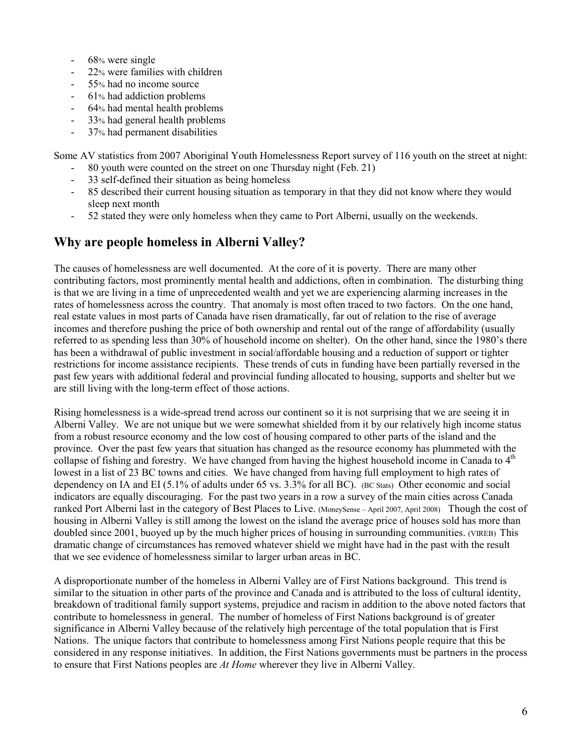- 68% were single
- 22% were families with children
- 55% had no income source
- 61% had addiction problems
- 64% had mental health problems
- 33% had general health problems
- 37% had permanent disabilities

Some AV statistics from 2007 Aboriginal Youth Homelessness Report survey of 116 youth on the street at night:

- 80 youth were counted on the street on one Thursday night (Feb. 21)
- 33 self-defined their situation as being homeless
- 85 described their current housing situation as temporary in that they did not know where they would sleep next month
- 52 stated they were only homeless when they came to Port Alberni, usually on the weekends.

### Why are people homeless in Alberni Valley?

The causes of homelessness are well documented. At the core of it is poverty. There are many other contributing factors, most prominently mental health and addictions, often in combination. The disturbing thing is that we are living in a time of unprecedented wealth and yet we are experiencing alarming increases in the rates of homelessness across the country. That anomaly is most often traced to two factors. On the one hand, real estate values in most parts of Canada have risen dramatically, far out of relation to the rise of average incomes and therefore pushing the price of both ownership and rental out of the range of affordability (usually referred to as spending less than 30% of household income on shelter). On the other hand, since the 1980's there has been a withdrawal of public investment in social/affordable housing and a reduction of support or tighter restrictions for income assistance recipients. These trends of cuts in funding have been partially reversed in the past few years with additional federal and provincial funding allocated to housing, supports and shelter but we are still living with the long-term effect of those actions.

Rising homelessness is a wide-spread trend across our continent so it is not surprising that we are seeing it in Alberni Valley. We are not unique but we were somewhat shielded from it by our relatively high income status from a robust resource economy and the low cost of housing compared to other parts of the island and the province. Over the past few years that situation has changed as the resource economy has plummeted with the collapse of fishing and forestry. We have changed from having the highest household income in Canada to  $4<sup>th</sup>$ lowest in a list of 23 BC towns and cities. We have changed from having full employment to high rates of dependency on IA and EI (5.1% of adults under 65 vs. 3.3% for all BC). (BC Stats) Other economic and social indicators are equally discouraging. For the past two years in a row a survey of the main cities across Canada ranked Port Alberni last in the category of Best Places to Live. (MoneySense – April 2007, April 2008) Though the cost of housing in Alberni Valley is still among the lowest on the island the average price of houses sold has more than doubled since 2001, buoyed up by the much higher prices of housing in surrounding communities. (VIREB) This dramatic change of circumstances has removed whatever shield we might have had in the past with the result that we see evidence of homelessness similar to larger urban areas in BC.

A disproportionate number of the homeless in Alberni Valley are of First Nations background. This trend is similar to the situation in other parts of the province and Canada and is attributed to the loss of cultural identity, breakdown of traditional family support systems, prejudice and racism in addition to the above noted factors that contribute to homelessness in general. The number of homeless of First Nations background is of greater significance in Alberni Valley because of the relatively high percentage of the total population that is First Nations. The unique factors that contribute to homelessness among First Nations people require that this be considered in any response initiatives. In addition, the First Nations governments must be partners in the process to ensure that First Nations peoples are At Home wherever they live in Alberni Valley.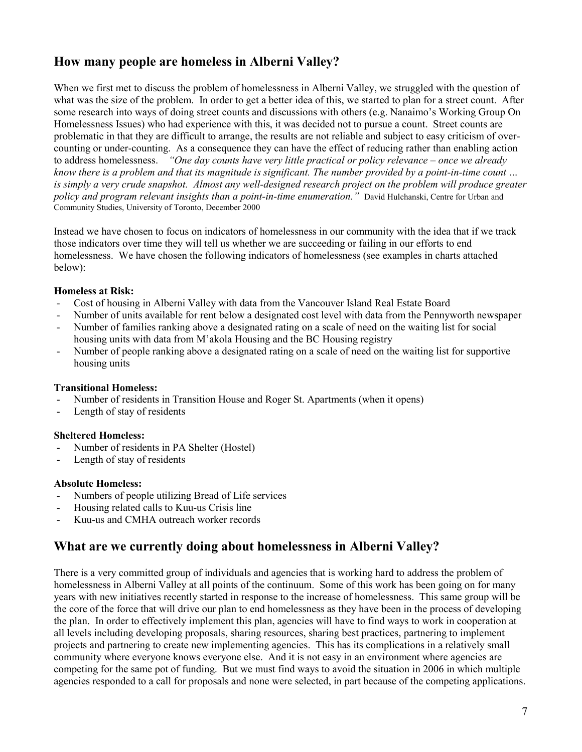# How many people are homeless in Alberni Valley?

When we first met to discuss the problem of homelessness in Alberni Valley, we struggled with the question of what was the size of the problem. In order to get a better idea of this, we started to plan for a street count. After some research into ways of doing street counts and discussions with others (e.g. Nanaimo's Working Group On Homelessness Issues) who had experience with this, it was decided not to pursue a count. Street counts are problematic in that they are difficult to arrange, the results are not reliable and subject to easy criticism of overcounting or under-counting. As a consequence they can have the effect of reducing rather than enabling action to address homelessness. "One day counts have very little practical or policy relevance – once we already know there is a problem and that its magnitude is significant. The number provided by a point-in-time count … is simply a very crude snapshot. Almost any well-designed research project on the problem will produce greater policy and program relevant insights than a point-in-time enumeration." David Hulchanski, Centre for Urban and Community Studies, University of Toronto, December 2000

Instead we have chosen to focus on indicators of homelessness in our community with the idea that if we track those indicators over time they will tell us whether we are succeeding or failing in our efforts to end homelessness. We have chosen the following indicators of homelessness (see examples in charts attached below):

### Homeless at Risk:

- Cost of housing in Alberni Valley with data from the Vancouver Island Real Estate Board
- Number of units available for rent below a designated cost level with data from the Pennyworth newspaper
- Number of families ranking above a designated rating on a scale of need on the waiting list for social housing units with data from M'akola Housing and the BC Housing registry
- Number of people ranking above a designated rating on a scale of need on the waiting list for supportive housing units

### Transitional Homeless:

- Number of residents in Transition House and Roger St. Apartments (when it opens)
- Length of stay of residents

#### Sheltered Homeless:

- Number of residents in PA Shelter (Hostel)
- Length of stay of residents

#### Absolute Homeless:

- Numbers of people utilizing Bread of Life services
- Housing related calls to Kuu-us Crisis line
- Kuu-us and CMHA outreach worker records

# What are we currently doing about homelessness in Alberni Valley?

There is a very committed group of individuals and agencies that is working hard to address the problem of homelessness in Alberni Valley at all points of the continuum. Some of this work has been going on for many years with new initiatives recently started in response to the increase of homelessness. This same group will be the core of the force that will drive our plan to end homelessness as they have been in the process of developing the plan. In order to effectively implement this plan, agencies will have to find ways to work in cooperation at all levels including developing proposals, sharing resources, sharing best practices, partnering to implement projects and partnering to create new implementing agencies. This has its complications in a relatively small community where everyone knows everyone else. And it is not easy in an environment where agencies are competing for the same pot of funding. But we must find ways to avoid the situation in 2006 in which multiple agencies responded to a call for proposals and none were selected, in part because of the competing applications.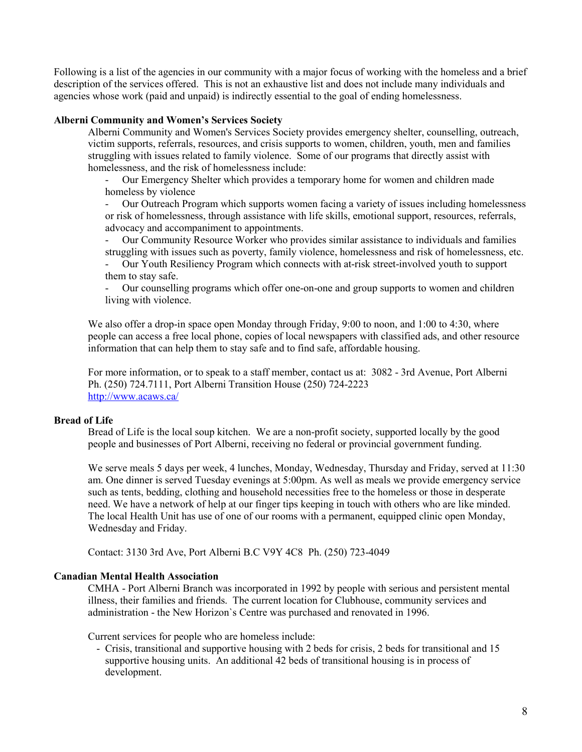Following is a list of the agencies in our community with a major focus of working with the homeless and a brief description of the services offered. This is not an exhaustive list and does not include many individuals and agencies whose work (paid and unpaid) is indirectly essential to the goal of ending homelessness.

#### Alberni Community and Women's Services Society

Alberni Community and Women's Services Society provides emergency shelter, counselling, outreach, victim supports, referrals, resources, and crisis supports to women, children, youth, men and families struggling with issues related to family violence. Some of our programs that directly assist with homelessness, and the risk of homelessness include:

- Our Emergency Shelter which provides a temporary home for women and children made homeless by violence

- Our Outreach Program which supports women facing a variety of issues including homelessness or risk of homelessness, through assistance with life skills, emotional support, resources, referrals, advocacy and accompaniment to appointments.

- Our Community Resource Worker who provides similar assistance to individuals and families struggling with issues such as poverty, family violence, homelessness and risk of homelessness, etc.

- Our Youth Resiliency Program which connects with at-risk street-involved youth to support them to stay safe.

- Our counselling programs which offer one-on-one and group supports to women and children living with violence.

We also offer a drop-in space open Monday through Friday, 9:00 to noon, and 1:00 to 4:30, where people can access a free local phone, copies of local newspapers with classified ads, and other resource information that can help them to stay safe and to find safe, affordable housing.

For more information, or to speak to a staff member, contact us at: 3082 - 3rd Avenue, Port Alberni Ph. (250) 724.7111, Port Alberni Transition House (250) 724-2223 http://www.acaws.ca/

### Bread of Life

Bread of Life is the local soup kitchen. We are a non-profit society, supported locally by the good people and businesses of Port Alberni, receiving no federal or provincial government funding.

We serve meals 5 days per week, 4 lunches, Monday, Wednesday, Thursday and Friday, served at 11:30 am. One dinner is served Tuesday evenings at 5:00pm. As well as meals we provide emergency service such as tents, bedding, clothing and household necessities free to the homeless or those in desperate need. We have a network of help at our finger tips keeping in touch with others who are like minded. The local Health Unit has use of one of our rooms with a permanent, equipped clinic open Monday, Wednesday and Friday.

Contact: 3130 3rd Ave, Port Alberni B.C V9Y 4C8 Ph. (250) 723-4049

#### Canadian Mental Health Association

CMHA - Port Alberni Branch was incorporated in 1992 by people with serious and persistent mental illness, their families and friends. The current location for Clubhouse, community services and administration - the New Horizon`s Centre was purchased and renovated in 1996.

Current services for people who are homeless include:

- Crisis, transitional and supportive housing with 2 beds for crisis, 2 beds for transitional and 15 supportive housing units. An additional 42 beds of transitional housing is in process of development.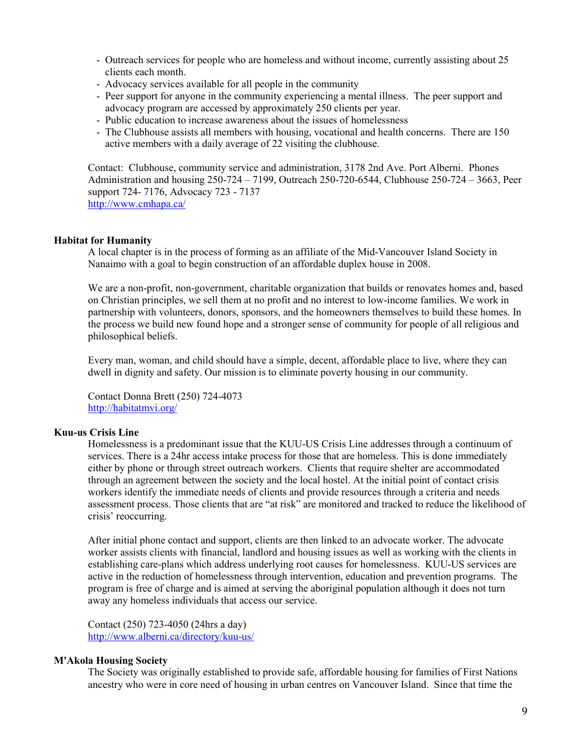- Outreach services for people who are homeless and without income, currently assisting about 25 clients each month.
- Advocacy services available for all people in the community
- Peer support for anyone in the community experiencing a mental illness. The peer support and advocacy program are accessed by approximately 250 clients per year.
- Public education to increase awareness about the issues of homelessness
- The Clubhouse assists all members with housing, vocational and health concerns. There are 150 active members with a daily average of 22 visiting the clubhouse.

Contact: Clubhouse, community service and administration, 3178 2nd Ave. Port Alberni. Phones Administration and housing 250-724 – 7199, Outreach 250-720-6544, Clubhouse 250-724 – 3663, Peer support 724- 7176, Advocacy 723 - 7137 http://www.cmhapa.ca/

#### Habitat for Humanity

A local chapter is in the process of forming as an affiliate of the Mid-Vancouver Island Society in Nanaimo with a goal to begin construction of an affordable duplex house in 2008.

We are a non-profit, non-government, charitable organization that builds or renovates homes and, based on Christian principles, we sell them at no profit and no interest to low-income families. We work in partnership with volunteers, donors, sponsors, and the homeowners themselves to build these homes. In the process we build new found hope and a stronger sense of community for people of all religious and philosophical beliefs.

Every man, woman, and child should have a simple, decent, affordable place to live, where they can dwell in dignity and safety. Our mission is to eliminate poverty housing in our community.

Contact Donna Brett (250) 724-4073 http://habitatmvi.org/

#### Kuu-us Crisis Line

Homelessness is a predominant issue that the KUU-US Crisis Line addresses through a continuum of services. There is a 24hr access intake process for those that are homeless. This is done immediately either by phone or through street outreach workers. Clients that require shelter are accommodated through an agreement between the society and the local hostel. At the initial point of contact crisis workers identify the immediate needs of clients and provide resources through a criteria and needs assessment process. Those clients that are "at risk" are monitored and tracked to reduce the likelihood of crisis' reoccurring.

After initial phone contact and support, clients are then linked to an advocate worker. The advocate worker assists clients with financial, landlord and housing issues as well as working with the clients in establishing care-plans which address underlying root causes for homelessness. KUU-US services are active in the reduction of homelessness through intervention, education and prevention programs. The program is free of charge and is aimed at serving the aboriginal population although it does not turn away any homeless individuals that access our service.

Contact (250) 723-4050 (24hrs a day) http://www.alberni.ca/directory/kuu-us/

#### M'Akola Housing Society

The Society was originally established to provide safe, affordable housing for families of First Nations ancestry who were in core need of housing in urban centres on Vancouver Island. Since that time the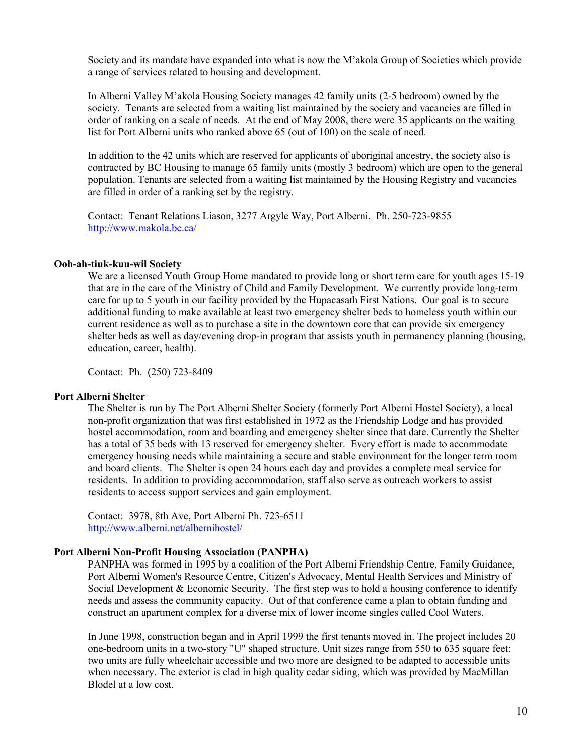Society and its mandate have expanded into what is now the M'akola Group of Societies which provide a range of services related to housing and development.

In Alberni Valley M'akola Housing Society manages 42 family units (2-5 bedroom) owned by the society. Tenants are selected from a waiting list maintained by the society and vacancies are filled in order of ranking on a scale of needs. At the end of May 2008, there were 35 applicants on the waiting list for Port Alberni units who ranked above 65 (out of 100) on the scale of need.

In addition to the 42 units which are reserved for applicants of aboriginal ancestry, the society also is contracted by BC Housing to manage 65 family units (mostly 3 bedroom) which are open to the general population. Tenants are selected from a waiting list maintained by the Housing Registry and vacancies are filled in order of a ranking set by the registry.

Contact: Tenant Relations Liason, 3277 Argyle Way, Port Alberni. Ph. 250-723-9855 http://www.makola.bc.ca/

#### Ooh-ah-tiuk-kuu-wil Society

We are a licensed Youth Group Home mandated to provide long or short term care for youth ages 15-19 that are in the care of the Ministry of Child and Family Development. We currently provide long-term care for up to 5 youth in our facility provided by the Hupacasath First Nations. Our goal is to secure additional funding to make available at least two emergency shelter beds to homeless youth within our current residence as well as to purchase a site in the downtown core that can provide six emergency shelter beds as well as day/evening drop-in program that assists youth in permanency planning (housing, education, career, health).

Contact: Ph. (250) 723-8409

#### Port Alberni Shelter

The Shelter is run by The Port Alberni Shelter Society (formerly Port Alberni Hostel Society), a local non-profit organization that was first established in 1972 as the Friendship Lodge and has provided hostel accommodation, room and boarding and emergency shelter since that date. Currently the Shelter has a total of 35 beds with 13 reserved for emergency shelter. Every effort is made to accommodate emergency housing needs while maintaining a secure and stable environment for the longer term room and board clients. The Shelter is open 24 hours each day and provides a complete meal service for residents. In addition to providing accommodation, staff also serve as outreach workers to assist residents to access support services and gain employment.

Contact: 3978, 8th Ave, Port Alberni Ph. 723-6511 http://www.alberni.net/albernihostel/

#### Port Alberni Non-Profit Housing Association (PANPHA)

PANPHA was formed in 1995 by a coalition of the Port Alberni Friendship Centre, Family Guidance, Port Alberni Women's Resource Centre, Citizen's Advocacy, Mental Health Services and Ministry of Social Development & Economic Security. The first step was to hold a housing conference to identify needs and assess the community capacity. Out of that conference came a plan to obtain funding and construct an apartment complex for a diverse mix of lower income singles called Cool Waters.

In June 1998, construction began and in April 1999 the first tenants moved in. The project includes 20 one-bedroom units in a two-story "U" shaped structure. Unit sizes range from 550 to 635 square feet: two units are fully wheelchair accessible and two more are designed to be adapted to accessible units when necessary. The exterior is clad in high quality cedar siding, which was provided by MacMillan Blodel at a low cost.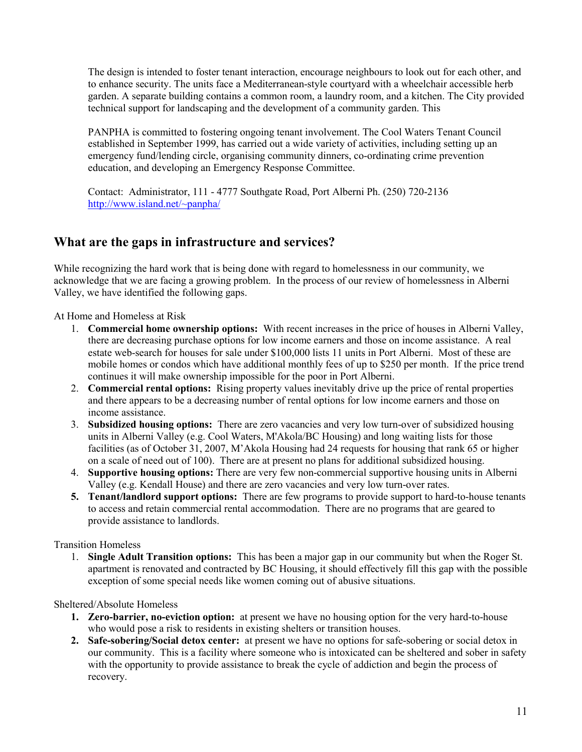The design is intended to foster tenant interaction, encourage neighbours to look out for each other, and to enhance security. The units face a Mediterranean-style courtyard with a wheelchair accessible herb garden. A separate building contains a common room, a laundry room, and a kitchen. The City provided technical support for landscaping and the development of a community garden. This

PANPHA is committed to fostering ongoing tenant involvement. The Cool Waters Tenant Council established in September 1999, has carried out a wide variety of activities, including setting up an emergency fund/lending circle, organising community dinners, co-ordinating crime prevention education, and developing an Emergency Response Committee.

Contact: Administrator, 111 - 4777 Southgate Road, Port Alberni Ph. (250) 720-2136 http://www.island.net/~panpha/

### What are the gaps in infrastructure and services?

While recognizing the hard work that is being done with regard to homelessness in our community, we acknowledge that we are facing a growing problem. In the process of our review of homelessness in Alberni Valley, we have identified the following gaps.

At Home and Homeless at Risk

- 1. Commercial home ownership options: With recent increases in the price of houses in Alberni Valley, there are decreasing purchase options for low income earners and those on income assistance. A real estate web-search for houses for sale under \$100,000 lists 11 units in Port Alberni. Most of these are mobile homes or condos which have additional monthly fees of up to \$250 per month. If the price trend continues it will make ownership impossible for the poor in Port Alberni.
- 2. Commercial rental options: Rising property values inevitably drive up the price of rental properties and there appears to be a decreasing number of rental options for low income earners and those on income assistance.
- 3. Subsidized housing options: There are zero vacancies and very low turn-over of subsidized housing units in Alberni Valley (e.g. Cool Waters, M'Akola/BC Housing) and long waiting lists for those facilities (as of October 31, 2007, M'Akola Housing had 24 requests for housing that rank 65 or higher on a scale of need out of 100). There are at present no plans for additional subsidized housing.
- 4. Supportive housing options: There are very few non-commercial supportive housing units in Alberni Valley (e.g. Kendall House) and there are zero vacancies and very low turn-over rates.
- 5. Tenant/landlord support options: There are few programs to provide support to hard-to-house tenants to access and retain commercial rental accommodation. There are no programs that are geared to provide assistance to landlords.

Transition Homeless

1. Single Adult Transition options: This has been a major gap in our community but when the Roger St. apartment is renovated and contracted by BC Housing, it should effectively fill this gap with the possible exception of some special needs like women coming out of abusive situations.

Sheltered/Absolute Homeless

- 1. Zero-barrier, no-eviction option: at present we have no housing option for the very hard-to-house who would pose a risk to residents in existing shelters or transition houses.
- 2. Safe-sobering/Social detox center: at present we have no options for safe-sobering or social detox in our community. This is a facility where someone who is intoxicated can be sheltered and sober in safety with the opportunity to provide assistance to break the cycle of addiction and begin the process of recovery.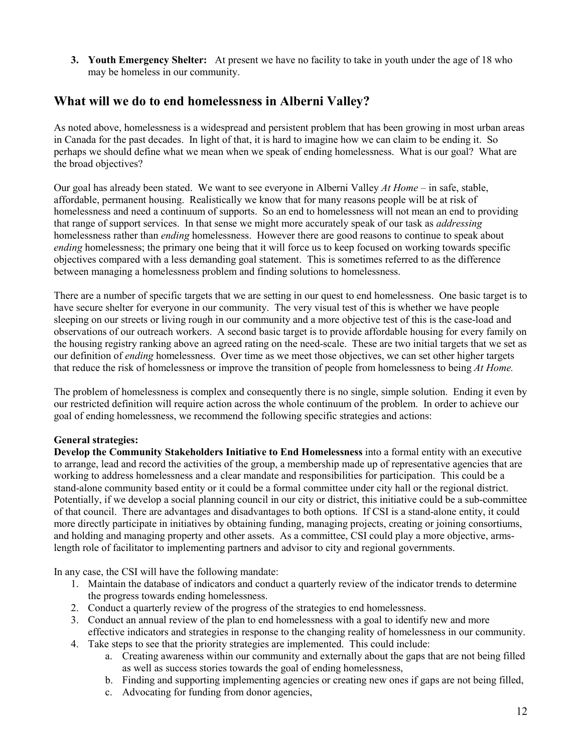3. Youth Emergency Shelter: At present we have no facility to take in youth under the age of 18 who may be homeless in our community.

# What will we do to end homelessness in Alberni Valley?

As noted above, homelessness is a widespread and persistent problem that has been growing in most urban areas in Canada for the past decades. In light of that, it is hard to imagine how we can claim to be ending it. So perhaps we should define what we mean when we speak of ending homelessness. What is our goal? What are the broad objectives?

Our goal has already been stated. We want to see everyone in Alberni Valley  $At Home -$  in safe, stable, affordable, permanent housing. Realistically we know that for many reasons people will be at risk of homelessness and need a continuum of supports. So an end to homelessness will not mean an end to providing that range of support services. In that sense we might more accurately speak of our task as *addressing* homelessness rather than ending homelessness. However there are good reasons to continue to speak about ending homelessness; the primary one being that it will force us to keep focused on working towards specific objectives compared with a less demanding goal statement. This is sometimes referred to as the difference between managing a homelessness problem and finding solutions to homelessness.

There are a number of specific targets that we are setting in our quest to end homelessness. One basic target is to have secure shelter for everyone in our community. The very visual test of this is whether we have people sleeping on our streets or living rough in our community and a more objective test of this is the case-load and observations of our outreach workers. A second basic target is to provide affordable housing for every family on the housing registry ranking above an agreed rating on the need-scale. These are two initial targets that we set as our definition of ending homelessness. Over time as we meet those objectives, we can set other higher targets that reduce the risk of homelessness or improve the transition of people from homelessness to being At Home.

The problem of homelessness is complex and consequently there is no single, simple solution. Ending it even by our restricted definition will require action across the whole continuum of the problem. In order to achieve our goal of ending homelessness, we recommend the following specific strategies and actions:

### General strategies:

Develop the Community Stakeholders Initiative to End Homelessness into a formal entity with an executive to arrange, lead and record the activities of the group, a membership made up of representative agencies that are working to address homelessness and a clear mandate and responsibilities for participation. This could be a stand-alone community based entity or it could be a formal committee under city hall or the regional district. Potentially, if we develop a social planning council in our city or district, this initiative could be a sub-committee of that council. There are advantages and disadvantages to both options. If CSI is a stand-alone entity, it could more directly participate in initiatives by obtaining funding, managing projects, creating or joining consortiums, and holding and managing property and other assets. As a committee, CSI could play a more objective, armslength role of facilitator to implementing partners and advisor to city and regional governments.

In any case, the CSI will have the following mandate:

- 1. Maintain the database of indicators and conduct a quarterly review of the indicator trends to determine the progress towards ending homelessness.
- 2. Conduct a quarterly review of the progress of the strategies to end homelessness.
- 3. Conduct an annual review of the plan to end homelessness with a goal to identify new and more effective indicators and strategies in response to the changing reality of homelessness in our community.
- 4. Take steps to see that the priority strategies are implemented. This could include:
	- a. Creating awareness within our community and externally about the gaps that are not being filled as well as success stories towards the goal of ending homelessness,
	- b. Finding and supporting implementing agencies or creating new ones if gaps are not being filled,
	- c. Advocating for funding from donor agencies,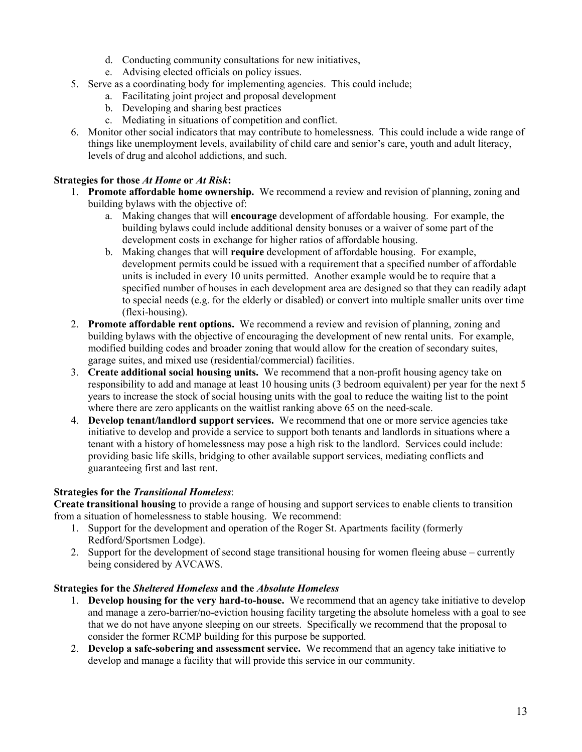- d. Conducting community consultations for new initiatives,
- e. Advising elected officials on policy issues.
- 5. Serve as a coordinating body for implementing agencies. This could include;
	- a. Facilitating joint project and proposal development
	- b. Developing and sharing best practices
	- c. Mediating in situations of competition and conflict.
- 6. Monitor other social indicators that may contribute to homelessness. This could include a wide range of things like unemployment levels, availability of child care and senior's care, youth and adult literacy, levels of drug and alcohol addictions, and such.

### Strategies for those At Home or At Risk:

- 1. Promote affordable home ownership. We recommend a review and revision of planning, zoning and building bylaws with the objective of:
	- a. Making changes that will encourage development of affordable housing. For example, the building bylaws could include additional density bonuses or a waiver of some part of the development costs in exchange for higher ratios of affordable housing.
	- b. Making changes that will require development of affordable housing. For example, development permits could be issued with a requirement that a specified number of affordable units is included in every 10 units permitted. Another example would be to require that a specified number of houses in each development area are designed so that they can readily adapt to special needs (e.g. for the elderly or disabled) or convert into multiple smaller units over time (flexi-housing).
- 2. Promote affordable rent options. We recommend a review and revision of planning, zoning and building bylaws with the objective of encouraging the development of new rental units. For example, modified building codes and broader zoning that would allow for the creation of secondary suites, garage suites, and mixed use (residential/commercial) facilities.
- 3. Create additional social housing units. We recommend that a non-profit housing agency take on responsibility to add and manage at least 10 housing units (3 bedroom equivalent) per year for the next 5 years to increase the stock of social housing units with the goal to reduce the waiting list to the point where there are zero applicants on the waitlist ranking above 65 on the need-scale.
- 4. Develop tenant/landlord support services. We recommend that one or more service agencies take initiative to develop and provide a service to support both tenants and landlords in situations where a tenant with a history of homelessness may pose a high risk to the landlord. Services could include: providing basic life skills, bridging to other available support services, mediating conflicts and guaranteeing first and last rent.

### Strategies for the Transitional Homeless:

Create transitional housing to provide a range of housing and support services to enable clients to transition from a situation of homelessness to stable housing. We recommend:

- 1. Support for the development and operation of the Roger St. Apartments facility (formerly Redford/Sportsmen Lodge).
- 2. Support for the development of second stage transitional housing for women fleeing abuse currently being considered by AVCAWS.

### Strategies for the Sheltered Homeless and the Absolute Homeless

- 1. Develop housing for the very hard-to-house. We recommend that an agency take initiative to develop and manage a zero-barrier/no-eviction housing facility targeting the absolute homeless with a goal to see that we do not have anyone sleeping on our streets. Specifically we recommend that the proposal to consider the former RCMP building for this purpose be supported.
- 2. Develop a safe-sobering and assessment service. We recommend that an agency take initiative to develop and manage a facility that will provide this service in our community.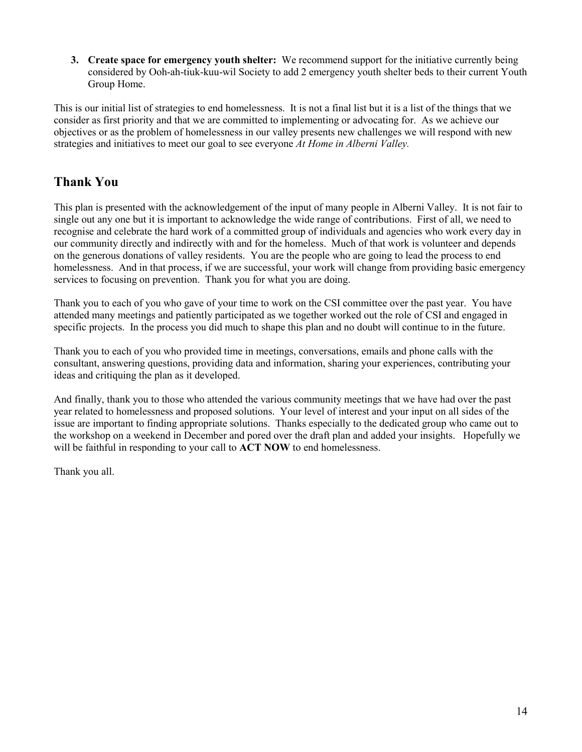3. Create space for emergency youth shelter: We recommend support for the initiative currently being considered by Ooh-ah-tiuk-kuu-wil Society to add 2 emergency youth shelter beds to their current Youth Group Home.

This is our initial list of strategies to end homelessness. It is not a final list but it is a list of the things that we consider as first priority and that we are committed to implementing or advocating for. As we achieve our objectives or as the problem of homelessness in our valley presents new challenges we will respond with new strategies and initiatives to meet our goal to see everyone At Home in Alberni Valley.

# Thank You

This plan is presented with the acknowledgement of the input of many people in Alberni Valley. It is not fair to single out any one but it is important to acknowledge the wide range of contributions. First of all, we need to recognise and celebrate the hard work of a committed group of individuals and agencies who work every day in our community directly and indirectly with and for the homeless. Much of that work is volunteer and depends on the generous donations of valley residents. You are the people who are going to lead the process to end homelessness. And in that process, if we are successful, your work will change from providing basic emergency services to focusing on prevention. Thank you for what you are doing.

Thank you to each of you who gave of your time to work on the CSI committee over the past year. You have attended many meetings and patiently participated as we together worked out the role of CSI and engaged in specific projects. In the process you did much to shape this plan and no doubt will continue to in the future.

Thank you to each of you who provided time in meetings, conversations, emails and phone calls with the consultant, answering questions, providing data and information, sharing your experiences, contributing your ideas and critiquing the plan as it developed.

And finally, thank you to those who attended the various community meetings that we have had over the past year related to homelessness and proposed solutions. Your level of interest and your input on all sides of the issue are important to finding appropriate solutions. Thanks especially to the dedicated group who came out to the workshop on a weekend in December and pored over the draft plan and added your insights. Hopefully we will be faithful in responding to your call to **ACT NOW** to end homelessness.

Thank you all.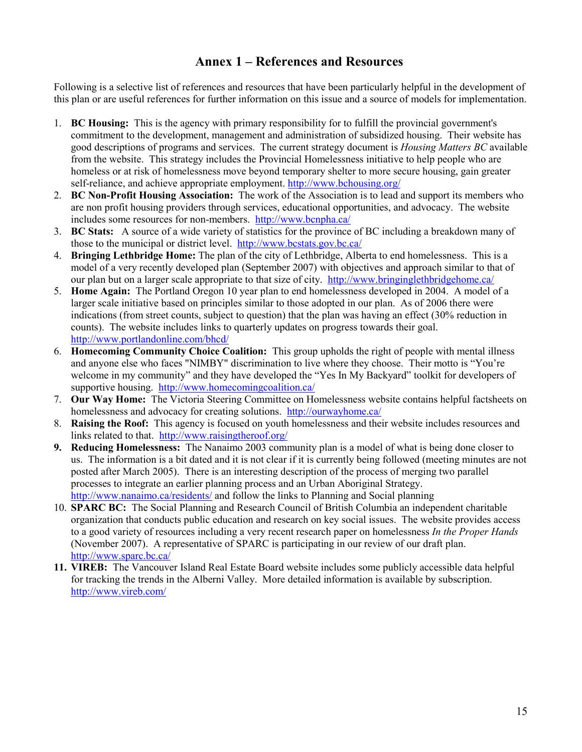# Annex 1 – References and Resources

Following is a selective list of references and resources that have been particularly helpful in the development of this plan or are useful references for further information on this issue and a source of models for implementation.

- 1. BC Housing: This is the agency with primary responsibility for to fulfill the provincial government's commitment to the development, management and administration of subsidized housing. Their website has good descriptions of programs and services. The current strategy document is *Housing Matters BC* available from the website. This strategy includes the Provincial Homelessness initiative to help people who are homeless or at risk of homelessness move beyond temporary shelter to more secure housing, gain greater self-reliance, and achieve appropriate employment. http://www.bchousing.org/
- 2. BC Non-Profit Housing Association: The work of the Association is to lead and support its members who are non profit housing providers through services, educational opportunities, and advocacy. The website includes some resources for non-members. http://www.bcnpha.ca/
- 3. BC Stats: A source of a wide variety of statistics for the province of BC including a breakdown many of those to the municipal or district level. http://www.bcstats.gov.bc.ca/
- 4. Bringing Lethbridge Home: The plan of the city of Lethbridge, Alberta to end homelessness. This is a model of a very recently developed plan (September 2007) with objectives and approach similar to that of our plan but on a larger scale appropriate to that size of city. http://www.bringinglethbridgehome.ca/
- 5. Home Again: The Portland Oregon 10 year plan to end homelessness developed in 2004. A model of a larger scale initiative based on principles similar to those adopted in our plan. As of 2006 there were indications (from street counts, subject to question) that the plan was having an effect (30% reduction in counts). The website includes links to quarterly updates on progress towards their goal. http://www.portlandonline.com/bhcd/
- 6. Homecoming Community Choice Coalition: This group upholds the right of people with mental illness and anyone else who faces "NIMBY" discrimination to live where they choose. Their motto is "You're welcome in my community" and they have developed the "Yes In My Backyard" toolkit for developers of supportive housing. http://www.homecomingcoalition.ca/
- 7. Our Way Home: The Victoria Steering Committee on Homelessness website contains helpful factsheets on homelessness and advocacy for creating solutions. http://ourwayhome.ca/
- 8. Raising the Roof: This agency is focused on youth homelessness and their website includes resources and links related to that. http://www.raisingtheroof.org/
- 9. Reducing Homelessness: The Nanaimo 2003 community plan is a model of what is being done closer to us. The information is a bit dated and it is not clear if it is currently being followed (meeting minutes are not posted after March 2005). There is an interesting description of the process of merging two parallel processes to integrate an earlier planning process and an Urban Aboriginal Strategy. http://www.nanaimo.ca/residents/ and follow the links to Planning and Social planning
- 10. SPARC BC: The Social Planning and Research Council of British Columbia an independent charitable organization that conducts public education and research on key social issues. The website provides access to a good variety of resources including a very recent research paper on homelessness In the Proper Hands (November 2007). A representative of SPARC is participating in our review of our draft plan. http://www.sparc.bc.ca/
- 11. VIREB: The Vancouver Island Real Estate Board website includes some publicly accessible data helpful for tracking the trends in the Alberni Valley. More detailed information is available by subscription. http://www.vireb.com/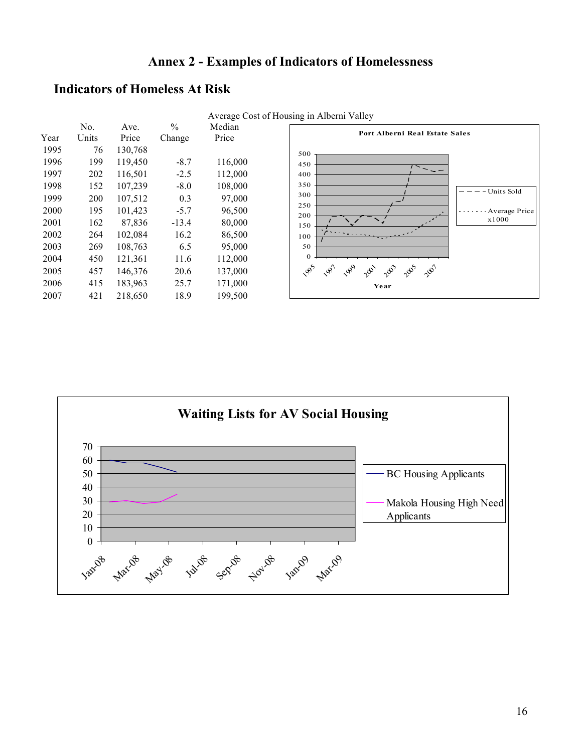# Annex 2 - Examples of Indicators of Homelessness

### Indicators of Homeless At Risk



Waiting Lists for AV Social Housing  $0 -$ 10 20 30 40 50 60 70 Jan-08 Marios Mayos Ist Sep Flats later Avere BC Housing Applicants Makola Housing High Need Applicants

Average Cost of Housing in Alberni Valley